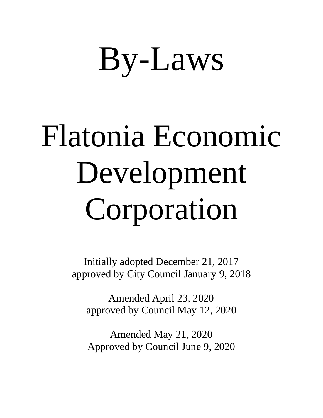# By-Laws

# Flatonia Economic Development Corporation

Initially adopted December 21, 2017 approved by City Council January 9, 2018

Amended April 23, 2020 approved by Council May 12, 2020

Amended May 21, 2020 Approved by Council June 9, 2020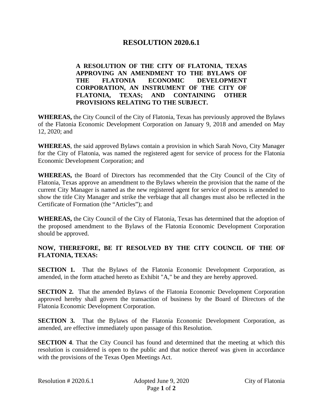# **RESOLUTION 2020.6.1**

# **A RESOLUTION OF THE CITY OF FLATONIA, TEXAS APPROVING AN AMENDMENT TO THE BYLAWS OF THE FLATONIA ECONOMIC DEVELOPMENT CORPORATION, AN INSTRUMENT OF THE CITY OF FLATONIA, TEXAS; AND CONTAINING OTHER PROVISIONS RELATING TO THE SUBJECT.**

**WHEREAS,** the City Council of the City of Flatonia, Texas has previously approved the Bylaws of the Flatonia Economic Development Corporation on January 9, 2018 and amended on May 12, 2020; and

**WHEREAS**, the said approved Bylaws contain a provision in which Sarah Novo, City Manager for the City of Flatonia, was named the registered agent for service of process for the Flatonia Economic Development Corporation; and

**WHEREAS,** the Board of Directors has recommended that the City Council of the City of Flatonia, Texas approve an amendment to the Bylaws wherein the provision that the name of the current City Manager is named as the new registered agent for service of process is amended to show the title City Manager and strike the verbiage that all changes must also be reflected in the Certificate of Formation (the "Articles"); and

**WHEREAS,** the City Council of the City of Flatonia, Texas has determined that the adoption of the proposed amendment to the Bylaws of the Flatonia Economic Development Corporation should be approved.

# **NOW, THEREFORE, BE IT RESOLVED BY THE CITY COUNCIL OF THE OF FLATONIA, TEXAS:**

**SECTION 1.** That the Bylaws of the Flatonia Economic Development Corporation, as amended, in the form attached hereto as Exhibit "A," be and they are hereby approved.

**SECTION 2.** That the amended Bylaws of the Flatonia Economic Development Corporation approved hereby shall govern the transaction of business by the Board of Directors of the Flatonia Economic Development Corporation.

**SECTION 3.** That the Bylaws of the Flatonia Economic Development Corporation, as amended, are effective immediately upon passage of this Resolution.

**SECTION 4**. That the City Council has found and determined that the meeting at which this resolution is considered is open to the public and that notice thereof was given in accordance with the provisions of the Texas Open Meetings Act.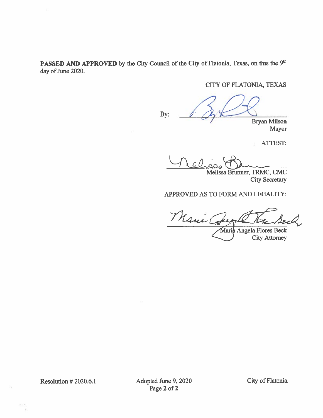PASSED AND APPROVED by the City Council of the City of Flatonia, Texas, on this the 9th day of June 2020.

# CITY OF FLATONIA, TEXAS

By: **Bryan Milson** Mayor

ATTEST:

ol

Melissa Brunner, TRMC, CMC **City Secretary** 

#### APPROVED AS TO FORM AND LEGALITY:

Marie Co

Maria Angela Flores Beck **City Attorney** 

**Resolution #2020.6.1** 

Adopted June 9, 2020 Page 2 of 2

City of Flatonia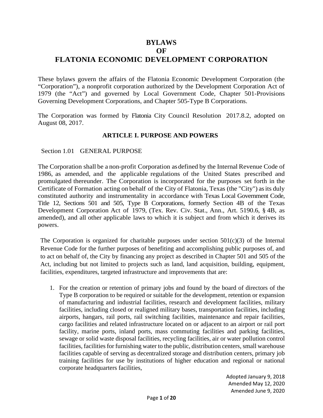# **BYLAWS**

#### **OF**

# **FLATONIA ECONOMIC DEVELOPMENT CORPORATION**

These bylaws govern the affairs of the Flatonia Economic Development Corporation (the "Corporation"), a nonprofit corporation authorized by the Development Corporation Act of 1979 (the "Act") and governed by Local Government Code, Chapter 501-Provisions Governing Development Corporations, and Chapter 505-Type B Corporations.

The Corporation was formed by Flatonia City Council Resolution 2017.8.2, adopted on August 08, 2017.

# **ARTICLE I. PURPOSE AND POWERS**

Section 1.01 GENERAL PURPOSE

The Corporation shall be a non-profit Corporation asdefined by the Internal Revenue Code of 1986, as amended, and the applicable regulations of the United States prescribed and promulgated thereunder. The Corporation is incorporated for the purposes set forth in the Certificate of Formation acting on behalf of the City of Flatonia, Texas (the "City") asits duly constituted authority and instrumentality in accordance with Texas Local Government Code, Title 12, Sections 501 and 505, Type B Corporations, formerly Section 4B of the Texas Development Corporation Act of 1979, (Tex. Rev. Civ. Stat., Ann., Art. 5190.6, § 4B, as amended), and all other applicable laws to which it is subject and from which it derives its powers.

The Corporation is organized for charitable purposes under section  $501(c)(3)$  of the Internal Revenue Code for the further purposes of benefiting and accomplishing public purposes of, and to act on behalf of, the City by financing any project as described in Chapter 501 and 505 of the Act, including but not limited to projects such as land, land acquisition, building, equipment, facilities, expenditures, targeted infrastructure and improvements that are:

1. For the creation or retention of primary jobs and found by the board of directors of the Type B corporation to be required or suitable for the development, retention or expansion of manufacturing and industrial facilities, research and development facilities, military facilities, including closed or realigned military bases, transportation facilities, including airports, hangars, rail ports, rail switching facilities, maintenance and repair facilities, cargo facilities and related infrastructure located on or adjacent to an airport or rail port facility, marine ports, inland ports, mass commuting facilities and parking facilities, sewage or solid waste disposal facilities, recycling facilities, air or water pollution control facilities, facilities for furnishing water to the public, distribution centers, small warehouse facilities capable of serving as decentralized storage and distribution centers, primary job training facilities for use by institutions of higher education and regional or national corporate headquarters facilities,

> Adopted January 9, 2018 Amended May 12, 2020 Amended June 9, 2020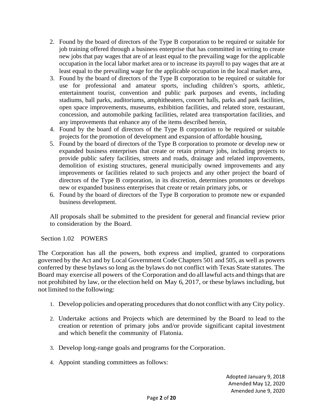- 2. Found by the board of directors of the Type B corporation to be required or suitable for job training offered through a business enterprise that has committed in writing to create new jobs that pay wages that are of at least equal to the prevailing wage for the applicable occupation in the local labor market area or to increase its payroll to pay wages that are at least equal to the prevailing wage for the applicable occupation in the local market area,
- 3. Found by the board of directors of the Type B corporation to be required or suitable for use for professional and amateur sports, including children's sports, athletic, entertainment tourist, convention and public park purposes and events, including stadiums, ball parks, auditoriums, amphitheaters, concert halls, parks and park facilities, open space improvements, museums, exhibition facilities, and related store, restaurant, concession, and automobile parking facilities, related area transportation facilities, and any improvements that enhance any of the items described herein,
- 4. Found by the board of directors of the Type B corporation to be required or suitable projects for the promotion of development and expansion of affordable housing,
- 5. Found by the board of directors of the Type B corporation to promote or develop new or expanded business enterprises that create or retain primary jobs, including projects to provide public safety facilities, streets and roads, drainage and related improvements, demolition of existing structures, general municipally owned improvements and any improvements or facilities related to such projects and any other project the board of directors of the Type B corporation, in its discretion, determines promotes or develops new or expanded business enterprises that create or retain primary jobs, or
- 6. Found by the board of directors of the Type B corporation to promote new or expanded business development.

All proposals shall be submitted to the president for general and financial review prior to consideration by the Board.

# Section 1.02 POWERS

The Corporation has all the powers, both express and implied, granted to corporations governed by the Act and by Local Government Code Chapters 501 and 505, as well as powers conferred by these bylaws so long as the bylaws do not conflict with Texas State statutes. The Board may exercise all powers of the Corporation and do all lawful acts and things that are not prohibited by law, or the election held on May 6, 2017, or these bylaws including, but not limited to the following:

- 1. Develop policies and operating proceduresthat donot conflict with anyCity policy.
- 2. Undertake actions and Projects which are determined by the Board to lead to the creation or retention of primary jobs and/or provide significant capital investment and which benefit the community of Flatonia.
- 3. Develop long-range goals and programs for the Corporation.
- 4. Appoint standing committees as follows: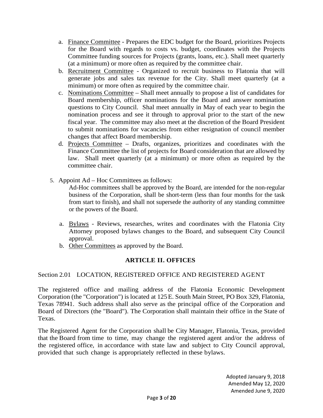- a. Finance Committee Prepares the EDC budget for the Board, prioritizes Projects for the Board with regards to costs vs. budget, coordinates with the Projects Committee funding sources for Projects (grants, loans, etc.). Shall meet quarterly (at a minimum) or more often as required by the committee chair.
- b. Recruitment Committee Organized to recruit business to Flatonia that will generate jobs and sales tax revenue for the City. Shall meet quarterly (at a minimum) or more often as required by the committee chair.
- c. Nominations Committee Shall meet annually to propose a list of candidates for Board membership, officer nominations for the Board and answer nomination questions to City Council. Shal meet annually in May of each year to begin the nomination process and see it through to approval prior to the start of the new fiscal year. The committee may also meet at the discretion of the Board President to submit nominations for vacancies from either resignation of council member changes that affect Board membership.
- d. Projects Committee Drafts, organizes, prioritizes and coordinates with the Finance Committee the list of projects for Board consideration that are allowed by law. Shall meet quarterly (at a minimum) or more often as required by the committee chair.
- 5. Appoint Ad Hoc Committees as follows:

Ad-Hoc committees shall be approved by the Board, are intended for the non-regular business of the Corporation, shall be short-term (less than four months for the task from start to finish), and shall not supersede the authority of any standing committee or the powers of the Board.

- a. Bylaws Reviews, researches, writes and coordinates with the Flatonia City Attorney proposed bylaws changes to the Board, and subsequent City Council approval.
- b. Other Committees as approved by the Board.

# **ARTICLE II. OFFICES**

Section 2.01 LOCATION, REGISTERED OFFICE AND REGISTERED AGENT

The registered office and mailing address of the Flatonia Economic Development Corporation (the "Corporation") islocated at 125E. South Main Street, PO Box 329, Flatonia, Texas 78941. Such address shall also serve as the principal office of the Corporation and Board of Directors (the "Board"). The Corporation shall maintain their office in the State of Texas.

The Registered Agent for the Corporation shall be City Manager, Flatonia, Texas, provided that the Board from time to time, may change the registered agent and/or the address of the registered office, in accordance with state law and subject to City Council approval, provided that such change is appropriately reflected in these bylaws.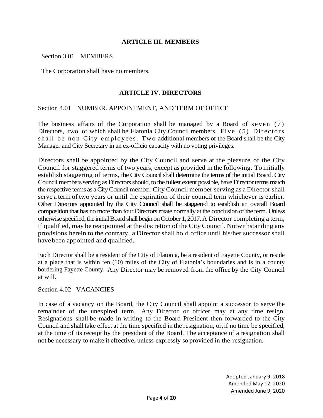#### **ARTICLE III. MEMBERS**

Section 3.01 MEMBERS

The Corporation shall have no members.

#### **ARTICLE IV. DIRECTORS**

#### Section 4.01 NUMBER. APPOINTMENT, AND TERM OF OFFICE

The business affairs of the Corporation shall be managed by a Board of seven (7) Directors, two of which shall be Flatonia City Council members. Five (5) Directors shall be non-City employees. Two additional members of the Board shall be the City Manager and City Secretary in an ex-officio capacity with no voting privileges.

Directors shall be appointed by the City Council and serve at the pleasure of the City Council for staggered terms of two years, except as provided in the following. To initially establish staggering of terms, the City Council shall determine the terms of the initial Board. City Council members serving as Directors should, to the fullest extent possible, have Director terms match the respective terms as a City Council member. City Council member serving as a Director shall serve a term of two years or until the expiration of their council term whichever is earlier. Other Directors appointed by the City Council shall be staggered to establish an overall Board composition that has no more than four Directors rotate normally at the conclusion of the term. Unless otherwise specified, the initial Board shall begin on October 1, 2017. A Director completing a term, if qualified, may be reappointed at the discretion of theCityCouncil. Notwithstanding any provisions herein to the contrary, a Director shall hold office until his/her successor shall havebeen appointed and qualified.

Each Director shall be a resident of the City of Flatonia, be a resident of Fayette County, or reside at a place that is within ten (10) miles of the City of Flatonia's boundaries and is in a county bordering Fayette County. Any Director may be removed from the office by the City Council at will.

Section 4.02 VACANCIES

In case of a vacancy on the Board, the City Council shall appoint a successor to serve the remainder of the unexpired term. Any Director or officer may at any time resign. Resignations shall be made in writing to the Board President then forwarded to the City Council and shall take effect at the time specified in the resignation, or,if no time be specified, at the time of its receipt by the president of the Board. The acceptance of a resignation shall not be necessary to make it effective, unless expressly so provided in the resignation.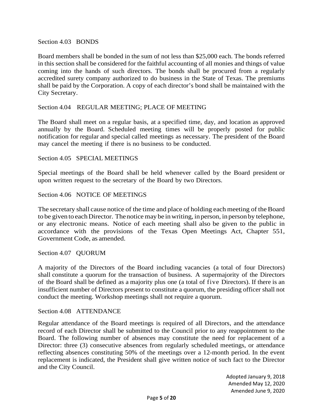Section 4.03 BONDS

Board members shall be bonded in the sum of not less than \$25,000 each. The bonds referred in this section shall be considered for the faithful accounting of all monies and things of value coming into the hands of such directors. The bonds shall be procured from a regularly accredited surety company authorized to do business in the State of Texas. The premiums shall be paid by the Corporation. A copy of each director's bond shall be maintained with the City Secretary.

#### Section 4.04 REGULAR MEETING; PLACE OF MEETING

The Board shall meet on a regular basis, at a specified time, day, and location as approved annually by the Board. Scheduled meeting times will be properly posted for public notification for regular and special called meetings as necessary. The president of the Board may cancel the meeting if there is no business to be conducted.

#### Section 4.05 SPECIAL MEETINGS

Special meetings of the Board shall be held whenever called by the Board president or upon written request to the secretary of the Board by two Directors.

#### Section 4.06 NOTICE OF MEETINGS

The secretary shall cause notice of the time and place of holding each meeting of the Board to be given to each Director. The notice may be in writing, in person, in person by telephone, or any electronic means. Notice of each meeting shall also be given to the public in accordance with the provisions of the Texas Open Meetings Act, Chapter 551, Government Code, as amended.

Section 4.07 QUORUM

A majority of the Directors of the Board including vacancies (a total of four Directors) shall constitute a quorum for the transaction of business. A supermajority of the Directors of the Board shall be defined as a majority plus one (a total of five Directors). If there is an insufficient number of Directors present to constitute a quorum, the presiding officer shall not conduct the meeting. Workshop meetings shall not require a quorum.

#### Section 4.08 ATTENDANCE

Regular attendance of the Board meetings is required of all Directors, and the attendance record of each Director shall be submitted to the Council prior to any reappointment to the Board. The following number of absences may constitute the need for replacement of a Director: three (3) consecutive absences from regularly scheduled meetings, or attendance reflecting absences constituting 50% of the meetings over a 12-month period. In the event replacement is indicated, the President shall give written notice of such fact to the Director and the City Council.

> Adopted January 9, 2018 Amended May 12, 2020 Amended June 9, 2020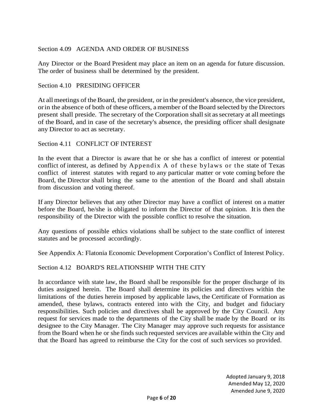Section 4.09 AGENDA AND ORDER OF BUSINESS

Any Director or the Board President may place an item on an agenda for future discussion. The order of business shall be determined by the president.

#### Section 4.10 PRESIDING OFFICER

At all meetings of the Board, the president, or in the president's absence, the vice president, orin the absence of both of these officers, a member of the Board selected by the Directors present shall preside. The secretary of the Corporation shall sit as secretary at all meetings of the Board, and in case of the secretary's absence, the presiding officer shall designate any Director to act as secretary.

#### Section 4.11 CONFLICT OF INTEREST

In the event that a Director is aware that he or she has a conflict of interest or potential conflict of interest, as defined by Appendix A of these bylaws or the state of Texas conflict of interest statutes with regard to any particular matter or vote coming before the Board, the Director shall bring the same to the attention of the Board and shall abstain from discussion and voting thereof.

If any Director believes that any other Director may have a conflict of interest on a matter before the Board, he/she is obligated to inform the Director of that opinion. It is then the responsibility of the Director with the possible conflict to resolve the situation.

Any questions of possible ethics violations shall be subject to the state conflict of interest statutes and be processed accordingly.

See Appendix A: Flatonia Economic Development Corporation's Conflict of Interest Policy.

#### Section 4.12 BOARD'S RELATIONSHIP WITH THE CITY

In accordance with state law, the Board shall be responsible for the proper discharge of its duties assigned herein. The Board shall determine its policies and directives within the limitations of the duties herein imposed by applicable laws, the Certificate of Formation as amended, these bylaws, contracts entered into with the City, and budget and fiduciary responsibilities. Such policies and directives shall be approved by the City Council. Any request for services made to the departments of the City shall be made by the Board or its designee to the City Manager. The City Manager may approve such requests for assistance from the Board when he or she finds such requested services are available within the City and that the Board has agreed to reimburse the City for the cost of such services so provided.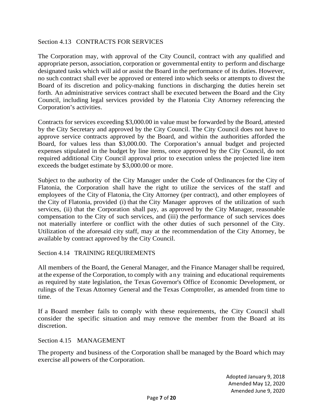#### Section 4.13 CONTRACTS FOR SERVICES

The Corporation may, with approval of the City Council, contract with any qualified and appropriate person, association, corporation or governmental entity to perform and discharge designated tasks which will aid or assist the Board in the performance of its duties. However, no such contract shall ever be approved or entered into which seeks or attempts to divest the Board of its discretion and policy-making functions in discharging the duties herein set forth. An administrative services contract shall be executed between the Board and the City Council, including legal services provided by the Flatonia City Attorney referencing the Corporation's activities.

Contracts for services exceeding \$3,000.00 in value must be forwarded by the Board, attested by the City Secretary and approved by the City Council. The City Council does not have to approve service contracts approved by the Board, and within the authorities afforded the Board, for values less than \$3,000.00. The Corporation's annual budget and projected expenses stipulated in the budget by line items, once approved by the City Council, do not required additional City Council approval prior to execution unless the projected line item exceeds the budget estimate by \$3,000.00 or more.

Subject to the authority of the City Manager under the Code of Ordinances for the City of Flatonia, the Corporation shall have the right to utilize the services of the staff and employees of the City of Flatonia, the City Attorney (per contract), and other employees of the City of Flatonia, provided (i) that the City Manager approves of the utilization of such services, (ii) that the Corporation shall pay, as approved by the City Manager, reasonable compensation to the City of such services, and (iii) the performance of such services does not materially interfere or conflict with the other duties of such personnel of the City. Utilization of the aforesaid city staff, may at the recommendation of the City Attorney, be available by contract approved by the City Council.

#### Section 4.14 TRAINING REQUIREMENTS

All members of the Board, the General Manager, and the Finance Manager shall be required, at the expense of the Corporation, to comply with any training and educational requirements as required by state legislation, the Texas Governor's Office of Economic Development, or rulings of the Texas Attorney General and the Texas Comptroller, as amended from time to time.

If a Board member fails to comply with these requirements, the City Council shall consider the specific situation and may remove the member from the Board at its discretion.

Section 4.15 MANAGEMENT

The property and business of the Corporation shall be managed by the Board which may exercise all powers of the Corporation.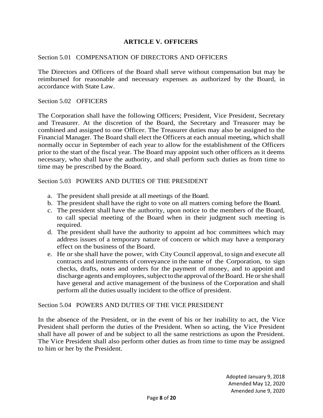#### **ARTICLE V. OFFICERS**

#### Section 5.01 COMPENSATION OF DIRECTORS AND OFFICERS

The Directors and Officers of the Board shall serve without compensation but may be reimbursed for reasonable and necessary expenses as authorized by the Board, in accordance with State Law.

Section 5.02 OFFICERS

The Corporation shall have the following Officers; President, Vice President, Secretary and Treasurer. At the discretion of the Board, the Secretary and Treasurer may be combined and assigned to one Officer. The Treasurer duties may also be assigned to the Financial Manager. The Board shall elect the Officers at each annual meeting, which shall normally occur in September of each year to allow for the establishment of the Officers prior to the start of the fiscal year. The Board may appoint such other officers as it deems necessary, who shall have the authority, and shall perform such duties as from time to time may be prescribed by the Board.

Section 5.03 POWERS AND DUTIES OF THE PRESIDENT

- a. The president shall preside at all meetings of the Board.
- b. The president shall have the right to vote on all matters coming before the Board.
- c. The president shall have the authority, upon notice to the members of the Board, to call special meeting of the Board when in their judgment such meeting is required.
- d. The president shall have the authority to appoint ad hoc committees which may address issues of a temporary nature of concern or which may have a temporary effect on the business of the Board.
- e. He or she shall have the power, with City Council approval, to sign and execute all contracts and instruments of conveyance in the name of the Corporation, to sign checks, drafts, notes and orders for the payment of money, and to appoint and discharge agents and employees, subject to the approval of the Board. He or she shall have general and active management of the business of the Corporation and shall perform all the duties usually incident to the office of president.

#### Section 5.04 POWERS AND DUTIES OF THE VICE PRESIDENT

In the absence of the President, or in the event of his or her inability to act, the Vice President shall perform the duties of the President. When so acting, the Vice President shall have all power of and be subject to all the same restrictions as upon the President. The Vice President shall also perform other duties as from time to time may be assigned to him or her by the President.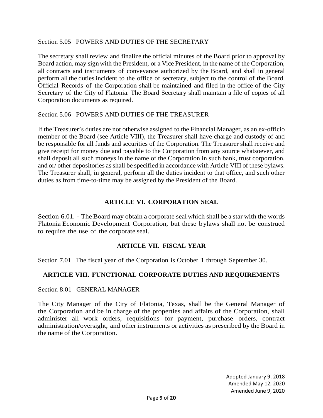#### Section 5.05 POWERS AND DUTIES OF THE SECRETARY

The secretary shall review and finalize the official minutes of the Board prior to approval by Board action, may sign with the President, or a Vice President, in the name of the Corporation, all contracts and instruments of conveyance authorized by the Board, and shall in general perform all the duties incident to the office of secretary, subject to the control of the Board. Official Records of the Corporation shall be maintained and filed in the office of the City Secretary of the City of Flatonia. The Board Secretary shall maintain a file of copies of all Corporation documents as required.

Section 5.06 POWERS AND DUTIES OF THE TREASURER

If the Treasurer's duties are not otherwise assigned to the Financial Manager, as an ex-officio member of the Board (see Article VIII), the Treasurer shall have charge and custody of and be responsible for all funds and securities of the Corporation. The Treasurer shall receive and give receipt for money due and payable to the Corporation from any source whatsoever, and shall deposit all such moneys in the name of the Corporation in such bank, trust corporation, and or/ other depositories as shall be specified in accordance with Article VIII of these bylaws. The Treasurer shall, in general, perform all the duties incident to that office, and such other duties as from time-to-time may be assigned by the President of the Board.

#### **ARTICLE VI. CORPORATION SEAL**

Section 6.01. - The Board may obtain a corporate seal which shall be a star with the words Flatonia Economic Development Corporation, but these bylaws shall not be construed to require the use of the corporate seal.

# **ARTICLE VII. FISCAL YEAR**

Section 7.01 The fiscal year of the Corporation is October 1 through September 30.

# **ARTICLE VIII. FUNCTIONAL CORPORATE DUTIES AND REQUIREMENTS**

Section 8.01 GENERAL MANAGER

The City Manager of the City of Flatonia, Texas, shall be the General Manager of the Corporation and be in charge of the properties and affairs of the Corporation, shall administer all work orders, requisitions for payment, purchase orders, contract administration/oversight, and other instruments or activities as prescribed by the Board in the name of the Corporation.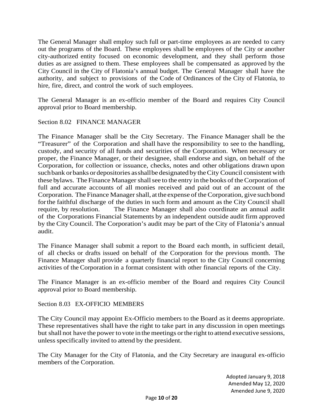The General Manager shall employ such full or part-time employees as are needed to carry out the programs of the Board. These employees shall be employees of the City or another city-authorized entity focused on economic development, and they shall perform those duties as are assigned to them. These employees shall be compensated as approved by the City Council in the City of Flatonia's annual budget. The General Manager shall have the authority, and subject to provisions of the Code of Ordinances of the City of Flatonia, to hire, fire, direct, and control the work of such employees.

The General Manager is an ex-officio member of the Board and requires City Council approval prior to Board membership.

Section 8.02 FINANCE MANAGER

The Finance Manager shall be the City Secretary. The Finance Manager shall be the "Treasurer" of the Corporation and shall have the responsibility to see to the handling, custody, and security of all funds and securities of the Corporation. When necessary or proper, the Finance Manager, or their designee, shall endorse and sign, on behalf of the Corporation, for collection or issuance, checks, notes and other obligations drawn upon suchbank orbanks or depositories asshallbe designated by theCity Council consistent with these bylaws. The Finance Manager shall see to the entry in the books of the Corporation of full and accurate accounts of all monies received and paid out of an account of the Corporation. The Finance Manager shall, at the expense of the Corporation, give such bond forthe faithful discharge of the duties in such form and amount as the City Council shall require, by resolution. The Finance Manager shall also coordinate an annual audit of the Corporations Financial Statements by an independent outside audit firm approved by the City Council. The Corporation's audit may be part of the City of Flatonia's annual audit.

The Finance Manager shall submit a report to the Board each month, in sufficient detail, of all checks or drafts issued on behalf of the Corporation for the previous month. The Finance Manager shall provide a quarterly financial report to the City Council concerning activities of the Corporation in a format consistent with other financial reports of the City.

The Finance Manager is an ex-officio member of the Board and requires City Council approval prior to Board membership.

Section 8.03 EX-OFFICIO MEMBERS

The City Council may appoint Ex-Officio members to the Board as it deems appropriate. These representatives shall have the right to take part in any discussion in open meetings but shall not have the power to vote in the meetings or the right to attend executive sessions, unless specifically invited to attend by the president.

The City Manager for the City of Flatonia, and the City Secretary are inaugural ex-officio members of the Corporation.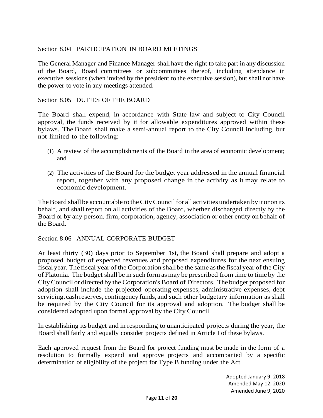# Section 8.04 PARTICIPATION IN BOARD MEETINGS

The General Manager and Finance Manager shall have the right to take part in any discussion of the Board, Board committees or subcommittees thereof, including attendance in executive sessions (when invited by the president to the executive session), but shall not have the power to vote in any meetings attended.

#### Section 8.05 DUTIES OF THE BOARD

The Board shall expend, in accordance with State law and subject to City Council approval, the funds received by it for allowable expenditures approved within these bylaws. The Board shall make a semi-annual report to the City Council including, but not limited to the following:

- (1) A review of the accomplishments of the Board in the area of economic development; and
- (2) The activities of the Board for the budget year addressed in the annual financial report, together with any proposed change in the activity as it may relate to economic development.

The Board shall be accountable to the City Council for all activities undertaken by it or on its behalf, and shall report on all activities of the Board, whether discharged directly by the Board or by any person, firm, corporation, agency, association or other entity on behalf of the Board.

#### Section 8.06 ANNUAL CORPORATE BUDGET

At least thirty (30) days prior to September 1st, the Board shall prepare and adopt a proposed budget of expected revenues and proposed expenditures for the next ensuing fiscal year. The fiscal year of the Corporation shall be the same asthe fiscal year of the City of Flatonia. The budget shall be in such form asmay be prescribed fromtime to time by the CityCouncil or directed by the Corporation's Board of Directors. The budget proposed for adoption shall include the projected operating expenses, administrative expenses, debt servicing, cashreserves, contingency funds, and such other budgetary information as shall be required by the City Council for its approval and adoption. The budget shall be considered adopted upon formal approval by the City Council.

In establishing its budget and in responding to unanticipated projects during the year, the Board shall fairly and equally consider projects defined in Article I of these bylaws.

Each approved request from the Board for project funding must be made in the form of a resolution to formally expend and approve projects and accompanied by a specific determination of eligibility of the project for Type B funding under the Act.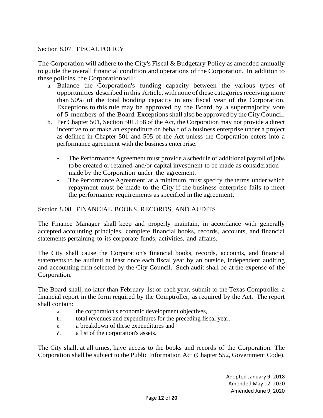# Section 8.07 FISCALPOLICY

The Corporation will adhere to the City's Fiscal & Budgetary Policy as amended annually to guide the overall financial condition and operations of the Corporation. In addition to these policies, the Corporationwill:

- a. Balance the Corporation's funding capacity between the various types of opportunities described in this Article, with none of these categories receiving more than 50% of the total bonding capacity in any fiscal year of the Corporation. Exceptions to this rule may be approved by the Board by a supermajority vote of 5 members of the Board. Exceptionsshall also be approved by theCityCouncil.
- b. Per Chapter 501, Section 501.158 of the Act, the Corporation may not provide a direct incentive to or make an expenditure on behalf of a business enterprise under a project as defined in Chapter 501 and 505 of the Act unless the Corporation enters into a performance agreement with the business enterprise.
	- The Performance Agreement must provide a schedule of additional payroll of jobs to be created or retained and/or capital investment to be made as consideration made by the Corporation under the agreement.
	- The Performance Agreement, at a minimum, must specify the terms under which repayment must be made to the City if the business enterprise fails to meet the performance requirements asspecified in the agreement.

#### Section 8.08 FINANCIAL BOOKS, RECORDS, AND AUDITS

The Finance Manager shall keep and properly maintain, in accordance with generally accepted accounting principles, complete financial books, records, accounts, and financial statements pertaining to its corporate funds, activities, and affairs.

The City shall cause the Corporation's financial books, records, accounts, and financial statements to be audited at least once each fiscal year by an outside, independent auditing and accounting firm selected by the City Council. Such audit shall be at the expense of the Corporation.

The Board shall, no later than February 1st of each year, submit to the Texas Comptroller a financial report in the form required by the Comptroller, as required by the Act. The report shall contain:

- a. the corporation's economic development objectives,
- b. total revenues and expenditures for the preceding fiscal year,
- c. a breakdown of these expenditures and
- d. a list of the corporation's assets.

The City shall, at all times, have access to the books and records of the Corporation. The Corporation shall be subject to the Public Information Act (Chapter 552, Government Code).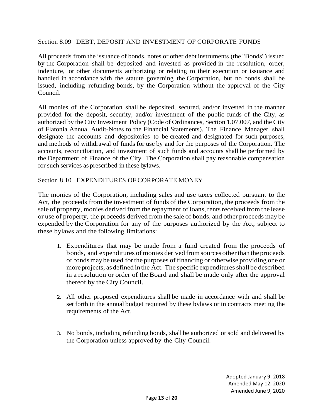#### Section 8.09 DEBT, DEPOSIT AND INVESTMENT OF CORPORATE FUNDS

All proceeds from the issuance of bonds, notes or other debt instruments (the "Bonds") issued by the Corporation shall be deposited and invested as provided in the resolution, order, indenture, or other documents authorizing or relating to their execution or issuance and handled in accordance with the statute governing the Corporation, but no bonds shall be issued, including refunding bonds, by the Corporation without the approval of the City Council.

All monies of the Corporation shall be deposited, secured, and/or invested in the manner provided for the deposit, security, and/or investment of the public funds of the City, as authorized by the City Investment Policy (Code of Ordinances, Section 1.07.007, and the City of Flatonia Annual Audit-Notes to the Financial Statements). The Finance Manager shall designate the accounts and depositories to be created and designated for such purposes, and methods of withdrawal of funds for use by and for the purposes of the Corporation. The accounts, reconciliation, and investment of such funds and accounts shall be performed by the Department of Finance of the City. The Corporation shall pay reasonable compensation for such services as prescribed in these bylaws.

#### Section 8.10 EXPENDITURES OF CORPORATE MONEY

The monies of the Corporation, including sales and use taxes collected pursuant to the Act, the proceeds from the investment of funds of the Corporation, the proceeds from the sale of property, monies derived from the repayment of loans, rents received from the lease or use of property, the proceeds derived from the sale of bonds, and other proceeds may be expended by the Corporation for any of the purposes authorized by the Act, subject to these bylaws and the following limitations:

- 1. Expenditures that may be made from a fund created from the proceeds of bonds, and expenditures of monies derived fromsources otherthan the proceeds of bondsmaybe used forthe purposes of financing or otherwise providing one or more projects, as defined in the Act. The specific expenditures shall be described in a resolution or order of the Board and shall be made only after the approval thereof by the City Council.
- 2. All other proposed expenditures shall be made in accordance with and shall be set forth in the annual budget required by these bylaws or in contracts meeting the requirements of the Act.
- 3. No bonds, including refunding bonds, shall be authorized or sold and delivered by the Corporation unless approved by the City Council.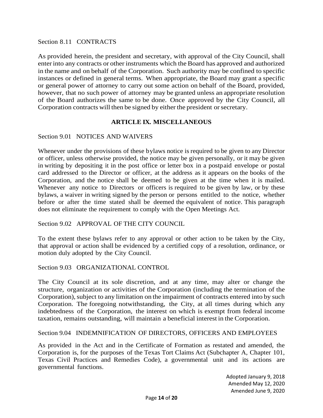Section 8.11 CONTRACTS

As provided herein, the president and secretary, with approval of the City Council, shall enter into any contracts or other instruments which the Board has approved and authorized in the name and on behalf of the Corporation. Such authority may be confined to specific instances or defined in general terms. When appropriate, the Board may grant a specific or general power of attorney to carry out some action on behalf of the Board, provided, however, that no such power of attorney may be granted unless an appropriate resolution of the Board authorizes the same to be done. Once approved by the City Council, all Corporation contracts will then be signed by either the president or secretary.

#### **ARTICLE IX. MISCELLANEOUS**

Section 9.01 NOTICES AND WAIVERS

Whenever under the provisions of these bylaws notice is required to be given to any Director or officer, unless otherwise provided, the notice may be given personally, or it may be given in writing by depositing it in the post office or letter box in a postpaid envelope or postal card addressed to the Director or officer, at the address as it appears on the books of the Corporation, and the notice shall be deemed to be given at the time when it is mailed. Whenever any notice to Directors or officers is required to be given by law, or by these bylaws, a waiver in writing signed by the person or persons entitled to the notice, whether before or after the time stated shall be deemed the equivalent of notice. This paragraph does not eliminate the requirement to comply with the Open Meetings Act.

Section 9.02 APPROVAL OF THE CITY COUNCIL

To the extent these bylaws refer to any approval or other action to be taken by the City, that approval or action shall be evidenced by a certified copy of a resolution, ordinance, or motion duly adopted by the City Council.

Section 9.03 ORGANIZATIONAL CONTROL

The City Council at its sole discretion, and at any time, may alter or change the structure, organization or activities of the Corporation (including the termination of the Corporation), subject to any limitation on the impairment of contracts entered into by such Corporation. The foregoing notwithstanding, the City, at all times during which any indebtedness of the Corporation, the interest on which is exempt from federal income taxation, remains outstanding, will maintain a beneficial interest in the Corporation.

Section 9.04 INDEMNIFICATION OF DIRECTORS, OFFICERS AND EMPLOYEES

As provided in the Act and in the Certificate of Formation as restated and amended, the Corporation is, for the purposes of the Texas Tort Claims Act (Subchapter A, Chapter 101, Texas Civil Practices and Remedies Code), a governmental unit and its actions are governmental functions.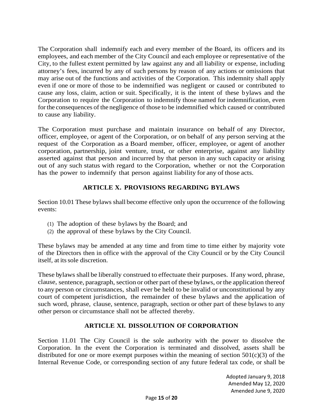The Corporation shall indemnify each and every member of the Board, its officers and its employees, and each member of the City Council and each employee or representative of the City, to the fullest extent permitted by law against any and all liability or expense, including attorney's fees, incurred by any of such persons by reason of any actions or omissions that may arise out of the functions and activities of the Corporation. This indemnity shall apply even if one or more of those to be indemnified was negligent or caused or contributed to cause any loss, claim, action or suit. Specifically, it is the intent of these bylaws and the Corporation to require the Corporation to indemnify those named for indemnification, even forthe consequences of the negligence of those to be indemnified which caused or contributed to cause any liability.

The Corporation must purchase and maintain insurance on behalf of any Director, officer, employee, or agent of the Corporation, or on behalf of any person serving at the request of the Corporation as a Board member, officer, employee, or agent of another corporation, partnership, joint venture, trust, or other enterprise, against any liability asserted against that person and incurred by that person in any such capacity or arising out of any such status with regard to the Corporation, whether or not the Corporation has the power to indemnify that person against liability for any of those acts.

# **ARTICLE X. PROVISIONS REGARDING BYLAWS**

Section 10.01 These bylaws shall become effective only upon the occurrence of the following events:

- (1) The adoption of these bylaws by the Board; and
- (2) the approval of these bylaws by the City Council.

These bylaws may be amended at any time and from time to time either by majority vote of the Directors then in office with the approval of the City Council or by the City Council itself, at its sole discretion.

These bylaws shall be liberally construed to effectuate their purposes. If any word, phrase, clause, sentence, paragraph, section or other part of these bylaws, orthe application thereof to any person or circumstances, shall ever be held to be invalid or unconstitutional by any court of competent jurisdiction, the remainder of these bylaws and the application of such word, phrase, clause, sentence, paragraph, section or other part of these bylaws to any other person or circumstance shall not be affected thereby.

# **ARTICLE XI. DISSOLUTION OF CORPORATION**

Section 11.01 The City Council is the sole authority with the power to dissolve the Corporation. In the event the Corporation is terminated and dissolved, assets shall be distributed for one or more exempt purposes within the meaning of section  $501(c)(3)$  of the Internal Revenue Code, or corresponding section of any future federal tax code, or shall be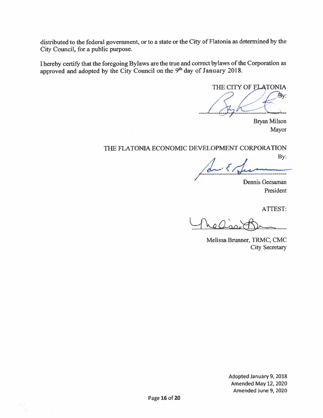distributed to the federal government, or to a state or the City of Flatonia as determined by the City Council, for a public purpose.

I hereby certify that the foregoing Bylaws are the true and correct bylaws of the Corporation as approved and adopted by the City Council on the 9<sup>th</sup> day of January 2018.

THE CITY OF FLATONIA By:

**Bryan Milson** Mayor

# THE FLATONIA ECONOMIC DEVELOPMENT CORPORATION

By:

Dennis Geesaman President

**ATTEST:** 

 $_{0}$ ()

Melissa Brunner, TRMC, CMC **City Secretary** 

Adopted January 9, 2018 Amended May 12, 2020 Amended June 9, 2020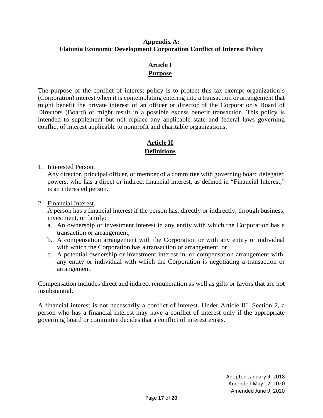### **Appendix A: Flatonia Economic Development Corporation Conflict of Interest Policy**

# **Article I Purpose**

The purpose of the conflict of interest policy is to protect this tax-exempt organization's (Corporation) interest when it is contemplating entering into a transaction or arrangement that might benefit the private interest of an officer or director of the Corporation's Board of Directors (Board) or might result in a possible excess benefit transaction. This policy is intended to supplement but not replace any applicable state and federal laws governing conflict of interest applicable to nonprofit and charitable organizations.

# **Article II Definitions**

#### 1. Interested Person.

Any director, principal officer, or member of a committee with governing board delegated powers, who has a direct or indirect financial interest, as defined in "Financial Interest," is an interested person.

#### 2. Financial Interest.

A person has a financial interest if the person has, directly or indirectly, through business, investment, or family:

- a. An ownership or investment interest in any entity with which the Corporation has a transaction or arrangement,
- b. A compensation arrangement with the Corporation or with any entity or individual with which the Corporation has a transaction or arrangement, or
- c. A potential ownership or investment interest in, or compensation arrangement with, any entity or individual with which the Corporation is negotiating a transaction or arrangement.

Compensation includes direct and indirect remuneration as well as gifts or favors that are not insubstantial.

A financial interest is not necessarily a conflict of interest. Under Article III, Section 2, a person who has a financial interest may have a conflict of interest only if the appropriate governing board or committee decides that a conflict of interest exists.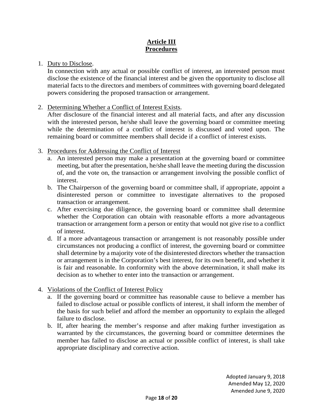# **Article III Procedures**

#### 1. Duty to Disclose.

In connection with any actual or possible conflict of interest, an interested person must disclose the existence of the financial interest and be given the opportunity to disclose all material facts to the directors and members of committees with governing board delegated powers considering the proposed transaction or arrangement.

#### 2. Determining Whether a Conflict of Interest Exists.

After disclosure of the financial interest and all material facts, and after any discussion with the interested person, he/she shall leave the governing board or committee meeting while the determination of a conflict of interest is discussed and voted upon. The remaining board or committee members shall decide if a conflict of interest exists.

#### 3. Procedures for Addressing the Conflict of Interest

- a. An interested person may make a presentation at the governing board or committee meeting, but after the presentation, he/she shall leave the meeting during the discussion of, and the vote on, the transaction or arrangement involving the possible conflict of interest.
- b. The Chairperson of the governing board or committee shall, if appropriate, appoint a disinterested person or committee to investigate alternatives to the proposed transaction or arrangement.
- c. After exercising due diligence, the governing board or committee shall determine whether the Corporation can obtain with reasonable efforts a more advantageous transaction or arrangement form a person or entity that would not give rise to a conflict of interest.
- d. If a more advantageous transaction or arrangement is not reasonably possible under circumstances not producing a conflict of interest, the governing board or committee shall determine by a majority vote of the disinterested directors whether the transaction or arrangement is in the Corporation's best interest, for its own benefit, and whether it is fair and reasonable. In conformity with the above determination, it shall make its decision as to whether to enter into the transaction or arrangement.

# 4. Violations of the Conflict of Interest Policy

- a. If the governing board or committee has reasonable cause to believe a member has failed to disclose actual or possible conflicts of interest, it shall inform the member of the basis for such belief and afford the member an opportunity to explain the alleged failure to disclose.
- b. If, after hearing the member's response and after making further investigation as warranted by the circumstances, the governing board or committee determines the member has failed to disclose an actual or possible conflict of interest, is shall take appropriate disciplinary and corrective action.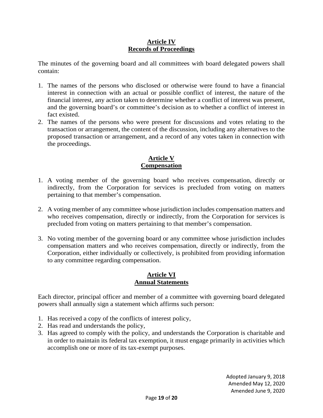### **Article IV Records of Proceedings**

The minutes of the governing board and all committees with board delegated powers shall contain:

- 1. The names of the persons who disclosed or otherwise were found to have a financial interest in connection with an actual or possible conflict of interest, the nature of the financial interest, any action taken to determine whether a conflict of interest was present, and the governing board's or committee's decision as to whether a conflict of interest in fact existed.
- 2. The names of the persons who were present for discussions and votes relating to the transaction or arrangement, the content of the discussion, including any alternatives to the proposed transaction or arrangement, and a record of any votes taken in connection with the proceedings.

# **Article V Compensation**

- 1. A voting member of the governing board who receives compensation, directly or indirectly, from the Corporation for services is precluded from voting on matters pertaining to that member's compensation.
- 2. A voting member of any committee whose jurisdiction includes compensation matters and who receives compensation, directly or indirectly, from the Corporation for services is precluded from voting on matters pertaining to that member's compensation.
- 3. No voting member of the governing board or any committee whose jurisdiction includes compensation matters and who receives compensation, directly or indirectly, from the Corporation, either individually or collectively, is prohibited from providing information to any committee regarding compensation.

# **Article VI Annual Statements**

Each director, principal officer and member of a committee with governing board delegated powers shall annually sign a statement which affirms such person:

- 1. Has received a copy of the conflicts of interest policy,
- 2. Has read and understands the policy,
- 3. Has agreed to comply with the policy, and understands the Corporation is charitable and in order to maintain its federal tax exemption, it must engage primarily in activities which accomplish one or more of its tax-exempt purposes.